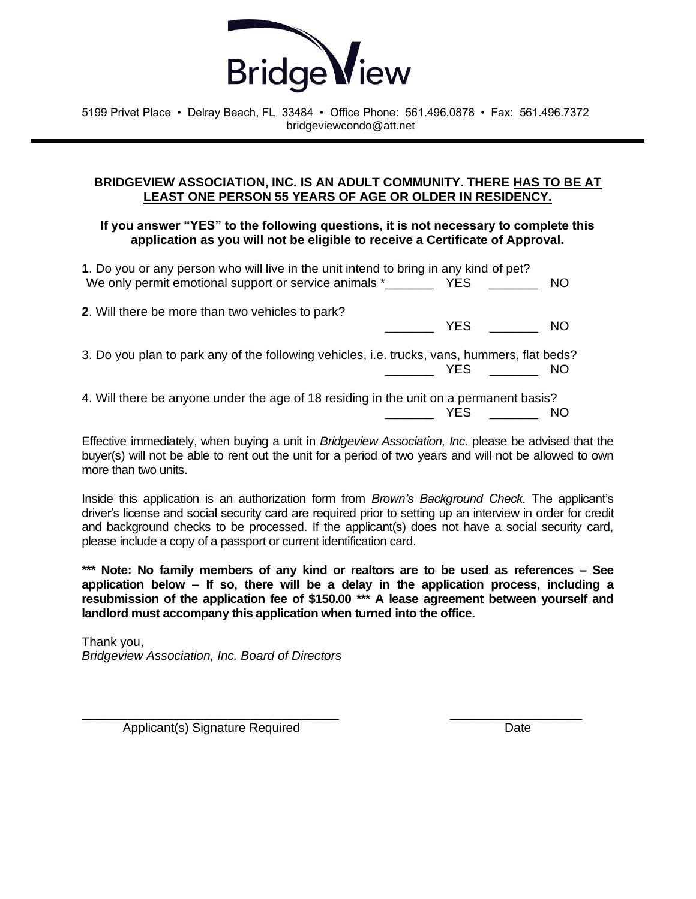

#### **BRIDGEVIEW ASSOCIATION, INC***.* **IS AN ADULT COMMUNITY. THERE HAS TO BE AT LEAST ONE PERSON 55 YEARS OF AGE OR OLDER IN RESIDENCY.**

#### **If you answer "YES" to the following questions, it is not necessary to complete this application as you will not be eligible to receive a Certificate of Approval.**

| 1. Do you or any person who will live in the unit intend to bring in any kind of pet?<br>We only permit emotional support or service animals * | YES. | NO. |
|------------------------------------------------------------------------------------------------------------------------------------------------|------|-----|
| 2. Will there be more than two vehicles to park?                                                                                               | YES. | NO. |
| 3. Do you plan to park any of the following vehicles, i.e. trucks, vans, hummers, flat beds?                                                   | YES  | NO. |
| 4. Will there be anyone under the age of 18 residing in the unit on a permanent basis?                                                         | YES. | NΟ  |

Effective immediately, when buying a unit in *Bridgeview Association, Inc.* please be advised that the buyer(s) will not be able to rent out the unit for a period of two years and will not be allowed to own more than two units.

Inside this application is an authorization form from *Brown's Background Check.* The applicant's driver's license and social security card are required prior to setting up an interview in order for credit and background checks to be processed. If the applicant(s) does not have a social security card, please include a copy of a passport or current identification card.

**\*\*\* Note: No family members of any kind or realtors are to be used as references – See application below – If so, there will be a delay in the application process, including a resubmission of the application fee of \$150.00 \*\*\* A lease agreement between yourself and landlord must accompany this application when turned into the office.**

\_\_\_\_\_\_\_\_\_\_\_\_\_\_\_\_\_\_\_\_\_\_\_\_\_\_\_\_\_\_\_\_\_\_\_\_\_ \_\_\_\_\_\_\_\_\_\_\_\_\_\_\_\_\_\_\_

Thank you, *Bridgeview Association, Inc. Board of Directors*

Applicant(s) Signature Required Date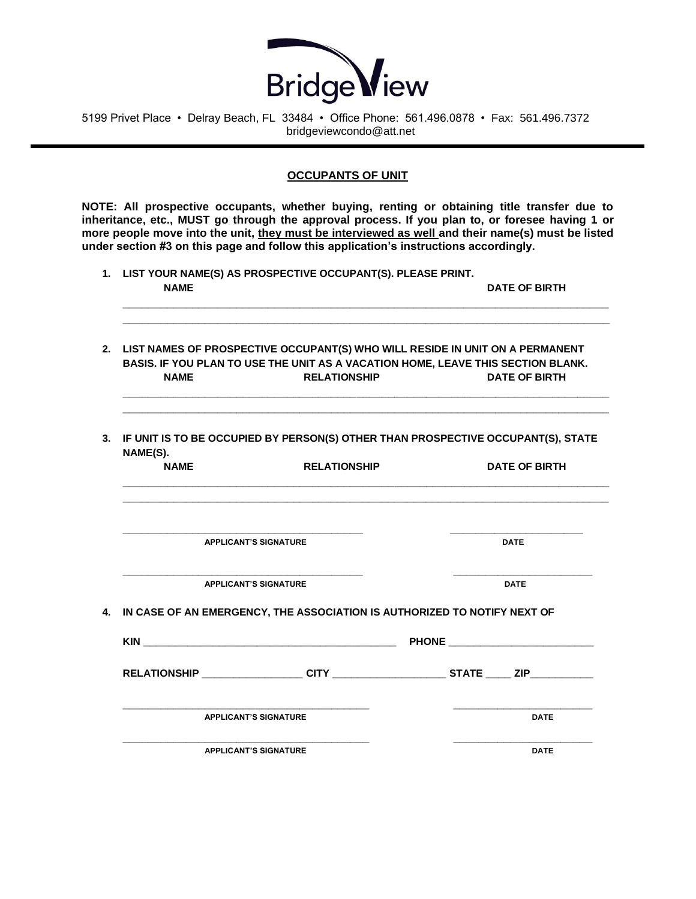

#### **OCCUPANTS OF UNIT**

**NOTE: All prospective occupants, whether buying, renting or obtaining title transfer due to inheritance, etc., MUST go through the approval process. If you plan to, or foresee having 1 or more people move into the unit, they must be interviewed as well and their name(s) must be listed under section #3 on this page and follow this application's instructions accordingly.** 

**1. LIST YOUR NAME(S) AS PROSPECTIVE OCCUPANT(S). PLEASE PRINT.**

| <b>NAME</b> |                                                                                                                                                                                                                    | <b>DATE OF BIRTH</b>                                                                         |
|-------------|--------------------------------------------------------------------------------------------------------------------------------------------------------------------------------------------------------------------|----------------------------------------------------------------------------------------------|
| <b>NAME</b> | 2. LIST NAMES OF PROSPECTIVE OCCUPANT(S) WHO WILL RESIDE IN UNIT ON A PERMANENT<br>BASIS. IF YOU PLAN TO USE THE UNIT AS A VACATION HOME, LEAVE THIS SECTION BLANK.<br><b>RELATIONSHIP</b><br><b>DATE OF BIRTH</b> |                                                                                              |
| NAME(S).    |                                                                                                                                                                                                                    | 3. IF UNIT IS TO BE OCCUPIED BY PERSON(S) OTHER THAN PROSPECTIVE OCCUPANT(S), STATE          |
| <b>NAME</b> | <b>RELATIONSHIP</b>                                                                                                                                                                                                | <b>DATE OF BIRTH</b>                                                                         |
|             | <b>APPLICANT'S SIGNATURE</b>                                                                                                                                                                                       | <b>DATE</b>                                                                                  |
|             | <b>APPLICANT'S SIGNATURE</b>                                                                                                                                                                                       | <b>DATE</b>                                                                                  |
|             |                                                                                                                                                                                                                    | 4. IN CASE OF AN EMERGENCY, THE ASSOCIATION IS AUTHORIZED TO NOTIFY NEXT OF                  |
|             |                                                                                                                                                                                                                    |                                                                                              |
|             |                                                                                                                                                                                                                    | RELATIONSHIP _____________________CITY ________________________STATE ______ ZIP_____________ |
|             | <b>APPLICANT'S SIGNATURE</b>                                                                                                                                                                                       | <b>DATE</b>                                                                                  |
|             | <b>APPLICANT'S SIGNATURE</b>                                                                                                                                                                                       | <b>DATE</b>                                                                                  |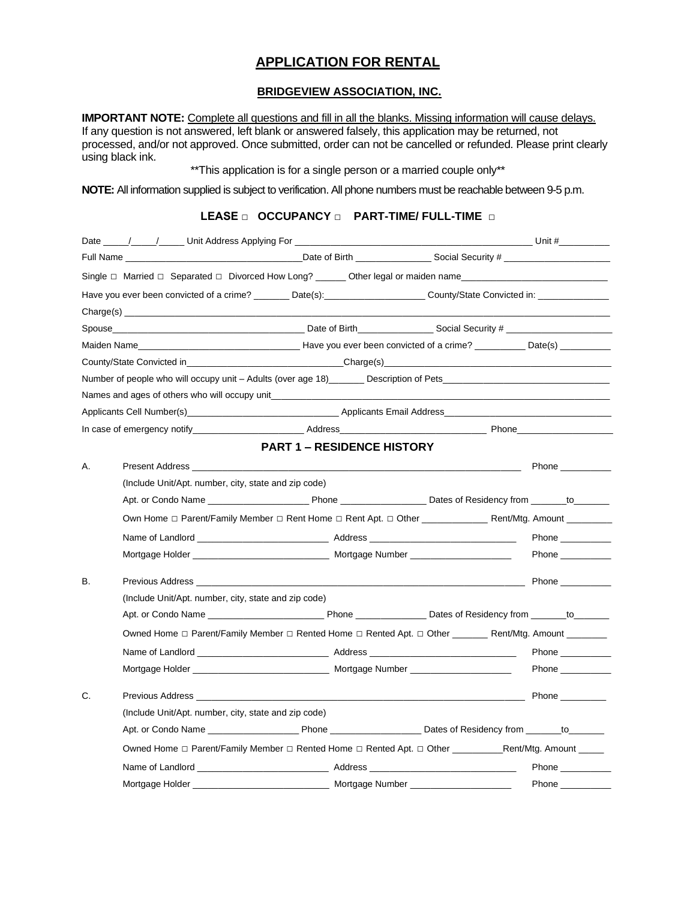### **APPLICATION FOR RENTAL**

#### **BRIDGEVIEW ASSOCIATION, INC.**

**IMPORTANT NOTE:** Complete all questions and fill in all the blanks. Missing information will cause delays. If any question is not answered, left blank or answered falsely, this application may be returned, not processed, and/or not approved. Once submitted, order can not be cancelled or refunded. Please print clearly using black ink.

\*\*This application is for a single person or a married couple only\*\*

**NOTE:** All information supplied is subject to verification. All phone numbers must be reachable between 9-5 p.m.

#### **LEASE □ OCCUPANCY □ PART-TIME/ FULL-TIME □**

|    |                                                                                                        | Have you ever been convicted of a crime? ________ Date(s): ______________________ County/State Convicted in: _____________________                                                                                             |                                 |  |
|----|--------------------------------------------------------------------------------------------------------|--------------------------------------------------------------------------------------------------------------------------------------------------------------------------------------------------------------------------------|---------------------------------|--|
|    |                                                                                                        |                                                                                                                                                                                                                                |                                 |  |
|    |                                                                                                        |                                                                                                                                                                                                                                |                                 |  |
|    |                                                                                                        |                                                                                                                                                                                                                                |                                 |  |
|    |                                                                                                        | County/State Convicted in entrance and control charge (s) entrance and charge (s)                                                                                                                                              |                                 |  |
|    |                                                                                                        | Number of people who will occupy unit – Adults (over age 18) Description of Pets                                                                                                                                               |                                 |  |
|    |                                                                                                        | Names and ages of others who will occupy unit example and all examples and all examples and ages of others who will occupy unit                                                                                                |                                 |  |
|    |                                                                                                        |                                                                                                                                                                                                                                |                                 |  |
|    |                                                                                                        |                                                                                                                                                                                                                                |                                 |  |
|    |                                                                                                        | <b>PART 1 - RESIDENCE HISTORY</b>                                                                                                                                                                                              |                                 |  |
| А. |                                                                                                        | Present Address and the contract of the contract of the contract of the contract of the contract of the contract of the contract of the contract of the contract of the contract of the contract of the contract of the contra | Phone $\_\_$                    |  |
|    | (Include Unit/Apt. number, city, state and zip code)                                                   |                                                                                                                                                                                                                                |                                 |  |
|    |                                                                                                        |                                                                                                                                                                                                                                |                                 |  |
|    |                                                                                                        | Own Home □ Parent/Family Member □ Rent Home □ Rent Apt. □ Other ________________ Rent/Mtg. Amount ___________                                                                                                                  |                                 |  |
|    |                                                                                                        |                                                                                                                                                                                                                                | Phone ________                  |  |
|    |                                                                                                        |                                                                                                                                                                                                                                | Phone $\frac{1}{2}$             |  |
| В. |                                                                                                        |                                                                                                                                                                                                                                |                                 |  |
|    |                                                                                                        |                                                                                                                                                                                                                                |                                 |  |
|    | (Include Unit/Apt. number, city, state and zip code)                                                   |                                                                                                                                                                                                                                |                                 |  |
|    |                                                                                                        | Owned Home □ Parent/Family Member □ Rented Home □ Rented Apt. □ Other ________ Rent/Mtg. Amount ________                                                                                                                       |                                 |  |
|    |                                                                                                        |                                                                                                                                                                                                                                |                                 |  |
|    |                                                                                                        |                                                                                                                                                                                                                                | <b>Phone Contract Phone</b>     |  |
|    |                                                                                                        |                                                                                                                                                                                                                                | Phone ________                  |  |
| C. |                                                                                                        |                                                                                                                                                                                                                                |                                 |  |
|    | (Include Unit/Apt. number, city, state and zip code)                                                   |                                                                                                                                                                                                                                |                                 |  |
|    |                                                                                                        |                                                                                                                                                                                                                                |                                 |  |
|    | Owned Home □ Parent/Family Member □ Rented Home □ Rented Apt. □ Other __________Rent/Mtg. Amount _____ |                                                                                                                                                                                                                                |                                 |  |
|    |                                                                                                        | Name of Landlord experience and a Address Address Address and Address and Address Address and Address and Address Address and Address and Address and Address and Address and Address and Address and Address and Address and  | Phone $\_\_\_\_\_\_\_\_\_\_\_\$ |  |
|    | Mortgage Holder                                                                                        | Mortgage Number<br><u> Linguistic Communication</u>                                                                                                                                                                            | Phone                           |  |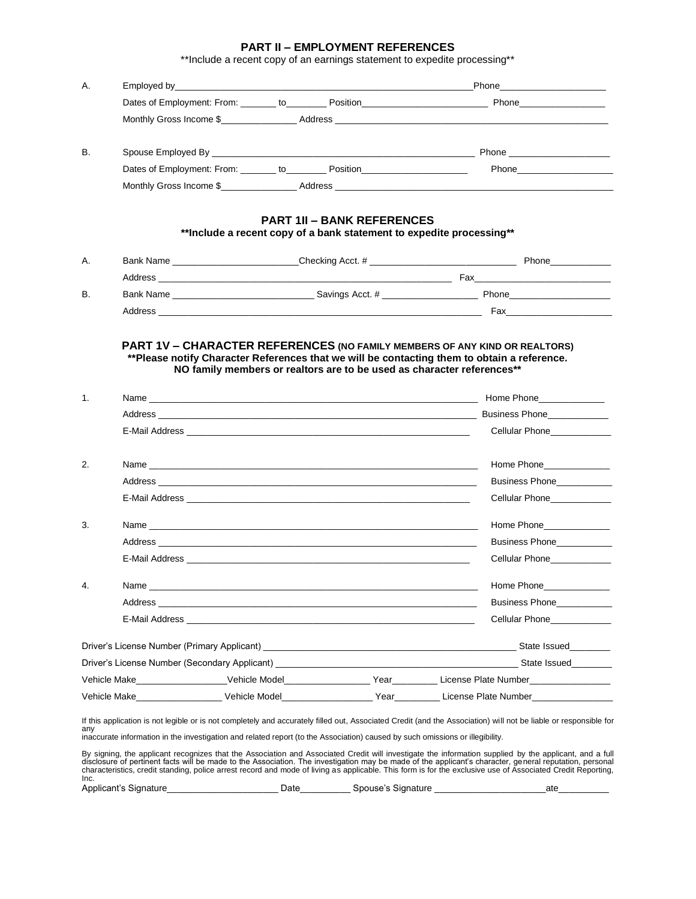#### **PART II – EMPLOYMENT REFERENCES**

\*\*Include a recent copy of an earnings statement to expedite processing\*\*

| А. |                                                                                                                                                                                                                                 | Phone_________________________ |
|----|---------------------------------------------------------------------------------------------------------------------------------------------------------------------------------------------------------------------------------|--------------------------------|
|    | Dates of Employment: From: ________ to _________ Position_______________________                                                                                                                                                | Phone________________          |
|    |                                                                                                                                                                                                                                 |                                |
| В. |                                                                                                                                                                                                                                 | Phone <u>_______</u>           |
|    | Dates of Employment: From: to Position                                                                                                                                                                                          | Phone <u>example</u>           |
|    | Monthly Gross Income \$ Address Address Address Address Address Address Address Address Address Address Address Address Address Address Address Address Address Address Address Address Address Address Address Address Address |                                |

### **PART 1II – BANK REFERENCES**

**\*\*Include a recent copy of a bank statement to expedite processing\*\***

| Α. | Bank Name | Checking Acct. # | Phone |
|----|-----------|------------------|-------|
|    | Address   |                  | Fax   |
| В. | Bank Name | Savings Acct. #  | Phone |
|    | Address   |                  | Fax   |

#### **PART 1V – CHARACTER REFERENCES (NO FAMILY MEMBERS OF ANY KIND OR REALTORS) \*\*Please notify Character References that we will be contacting them to obtain a reference. NO family members or realtors are to be used as character references\*\***

| 1. |  | Home Phone_____________                                                                                        |
|----|--|----------------------------------------------------------------------------------------------------------------|
|    |  |                                                                                                                |
|    |  | Cellular Phone <b>Cellular</b>                                                                                 |
| 2. |  | Home Phone______________                                                                                       |
|    |  | Business Phone__________                                                                                       |
|    |  | Cellular Phone____________                                                                                     |
| 3. |  | Home Phone______________                                                                                       |
|    |  | Business Phone__________                                                                                       |
|    |  | Cellular Phone___________                                                                                      |
| 4. |  | Home Phone______________                                                                                       |
|    |  | Business Phone__________                                                                                       |
|    |  | Cellular Phone <b>Cellular</b>                                                                                 |
|    |  |                                                                                                                |
|    |  |                                                                                                                |
|    |  |                                                                                                                |
|    |  | Vehicle Make____________________Vehicle Model________________Year__________License Plate Number_______________ |

If this application is not legible or is not completely and accurately filled out, Associated Credit (and the Association) will not be liable or responsible for any inaccurate information in the investigation and related report (to the Association) caused by such omissions or illegibility.

By signing, the applicant recognizes that the Association and Associated Credit will investigate the information supplied by the applicant, and a full<br>disclosure of pertinent facts will be made to the Association. The inve Inc.<br>Applicant's Signature\_

Applicant's Signature\_\_\_\_\_\_\_\_\_\_\_\_\_\_\_\_\_\_\_\_\_\_ Date\_\_\_\_\_\_\_\_\_\_ Spouse's Signature \_\_\_\_\_\_\_\_\_\_\_\_\_\_\_\_\_\_\_\_\_\_ate\_\_\_\_\_\_\_\_\_\_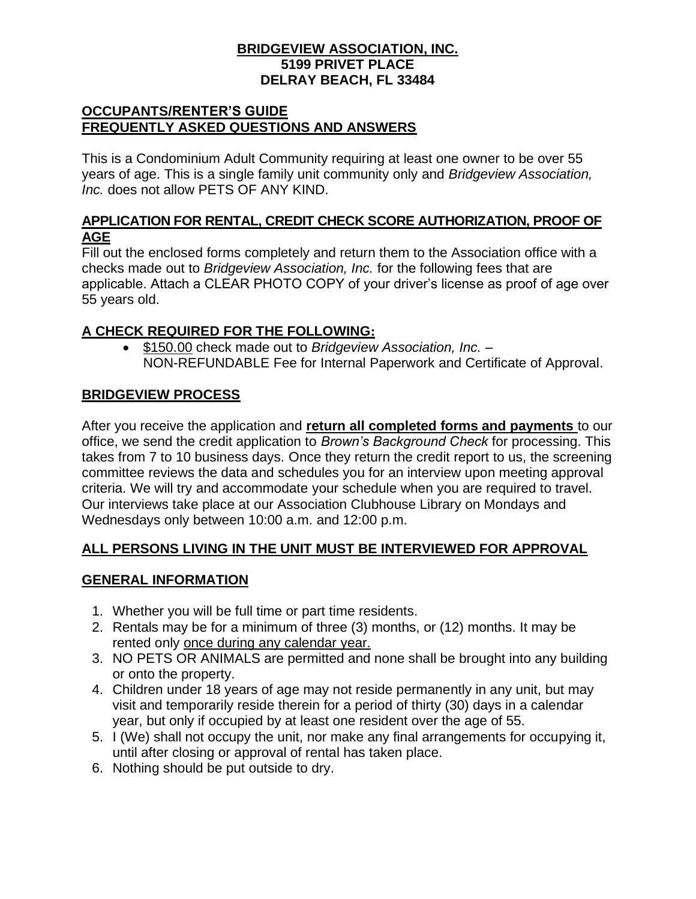### **BRIDGEVIEW ASSOCIATION, INC. 5199 PRIVET PLACE DELRAY BEACH, FL 33484**

### **OCCUPANTS/RENTER'S GUIDE FREQUENTLY ASKED QUESTIONS AND ANSWERS**

This is a Condominium Adult Community requiring at least one owner to be over 55 years of age. This is a single family unit community only and *Bridgeview Association, Inc.* does not allow PETS OF ANY KIND.

### **APPLICATION FOR RENTAL, CREDIT CHECK SCORE AUTHORIZATION, PROOF OF AGE**

Fill out the enclosed forms completely and return them to the Association office with a checks made out to *Bridgeview Association, Inc.* for the following fees that are applicable. Attach a CLEAR PHOTO COPY of your driver's license as proof of age over 55 years old.

# **A CHECK REQUIRED FOR THE FOLLOWING:**

• \$150.00 check made out to *Bridgeview Association, Inc.* – NON-REFUNDABLE Fee for Internal Paperwork and Certificate of Approval.

## **BRIDGEVIEW PROCESS**

After you receive the application and **return all completed forms and payments** to our office, we send the credit application to *Brown's Background Check* for processing. This takes from 7 to 10 business days. Once they return the credit report to us, the screening committee reviews the data and schedules you for an interview upon meeting approval criteria. We will try and accommodate your schedule when you are required to travel. Our interviews take place at our Association Clubhouse Library on Mondays and Wednesdays only between 10:00 a.m. and 12:00 p.m.

## **ALL PERSONS LIVING IN THE UNIT MUST BE INTERVIEWED FOR APPROVAL**

## **GENERAL INFORMATION**

- 1. Whether you will be full time or part time residents.
- 2. Rentals may be for a minimum of three (3) months, or (12) months. It may be rented only once during any calendar year.
- 3. NO PETS OR ANIMALS are permitted and none shall be brought into any building or onto the property.
- 4. Children under 18 years of age may not reside permanently in any unit, but may visit and temporarily reside therein for a period of thirty (30) days in a calendar year, but only if occupied by at least one resident over the age of 55.
- 5. I (We) shall not occupy the unit, nor make any final arrangements for occupying it, until after closing or approval of rental has taken place.
- 6. Nothing should be put outside to dry.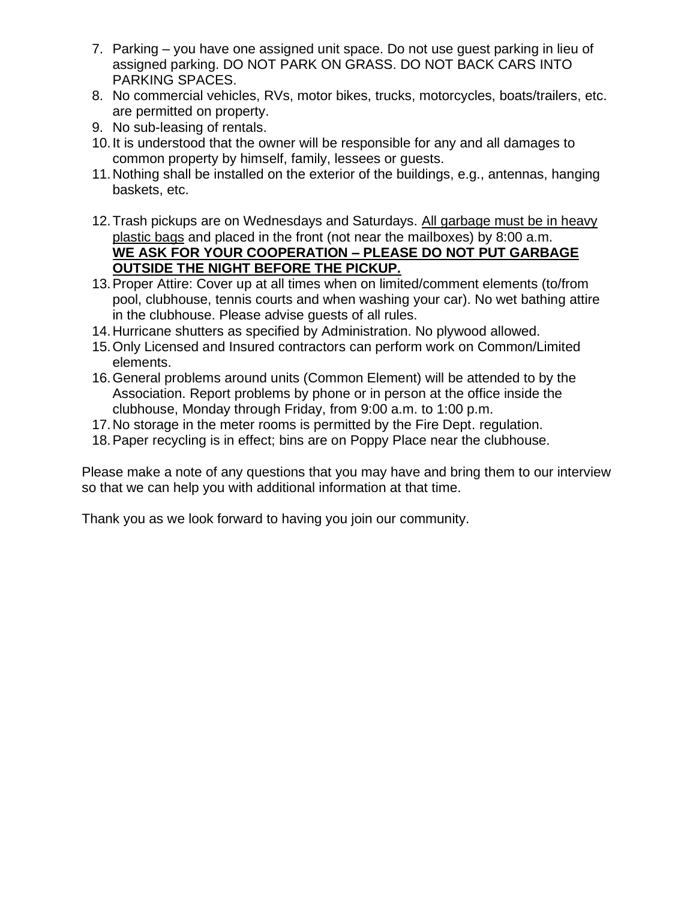- 7. Parking you have one assigned unit space. Do not use guest parking in lieu of assigned parking. DO NOT PARK ON GRASS. DO NOT BACK CARS INTO PARKING SPACES.
- 8. No commercial vehicles, RVs, motor bikes, trucks, motorcycles, boats/trailers, etc. are permitted on property.
- 9. No sub-leasing of rentals.
- 10.It is understood that the owner will be responsible for any and all damages to common property by himself, family, lessees or guests.
- 11.Nothing shall be installed on the exterior of the buildings, e.g., antennas, hanging baskets, etc.
- 12.Trash pickups are on Wednesdays and Saturdays. All garbage must be in heavy plastic bags and placed in the front (not near the mailboxes) by 8:00 a.m. **WE ASK FOR YOUR COOPERATION – PLEASE DO NOT PUT GARBAGE OUTSIDE THE NIGHT BEFORE THE PICKUP.**
- 13.Proper Attire: Cover up at all times when on limited/comment elements (to/from pool, clubhouse, tennis courts and when washing your car). No wet bathing attire in the clubhouse. Please advise guests of all rules.
- 14.Hurricane shutters as specified by Administration. No plywood allowed.
- 15.Only Licensed and Insured contractors can perform work on Common/Limited elements.
- 16.General problems around units (Common Element) will be attended to by the Association. Report problems by phone or in person at the office inside the clubhouse, Monday through Friday, from 9:00 a.m. to 1:00 p.m.
- 17.No storage in the meter rooms is permitted by the Fire Dept. regulation.
- 18.Paper recycling is in effect; bins are on Poppy Place near the clubhouse.

Please make a note of any questions that you may have and bring them to our interview so that we can help you with additional information at that time.

Thank you as we look forward to having you join our community.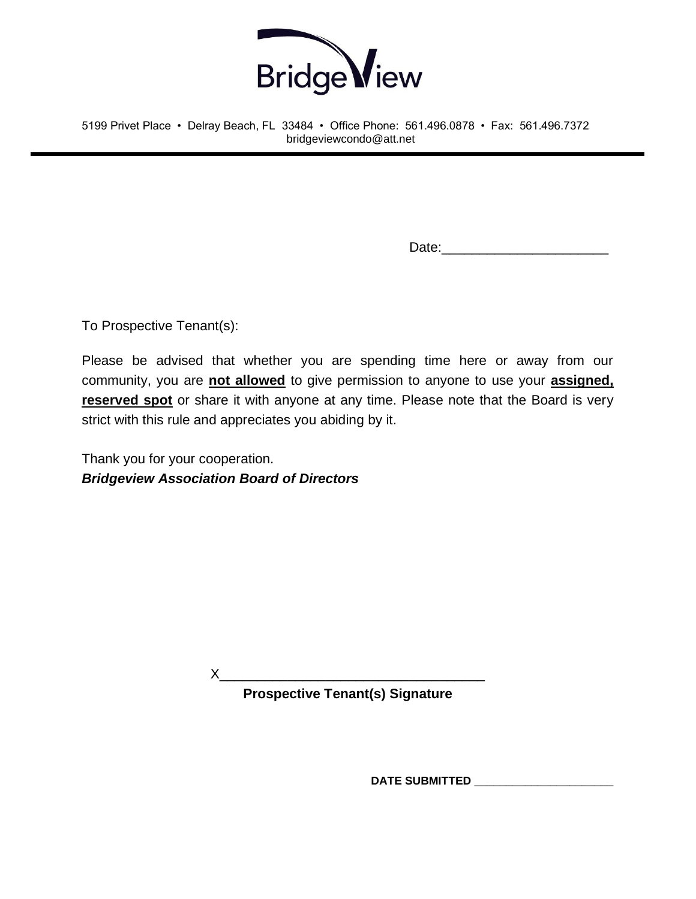

Date:

To Prospective Tenant(s):

Please be advised that whether you are spending time here or away from our community, you are **not allowed** to give permission to anyone to use your **assigned, reserved spot** or share it with anyone at any time. Please note that the Board is very strict with this rule and appreciates you abiding by it.

Thank you for your cooperation. *Bridgeview Association Board of Directors*

> X\_\_\_\_\_\_\_\_\_\_\_\_\_\_\_\_\_\_\_\_\_\_\_\_\_\_\_\_\_\_\_\_\_\_\_ **Prospective Tenant(s) Signature**

> > **DATE SUBMITTED \_\_\_\_\_\_\_\_\_\_\_\_\_\_\_\_\_\_\_\_\_\_**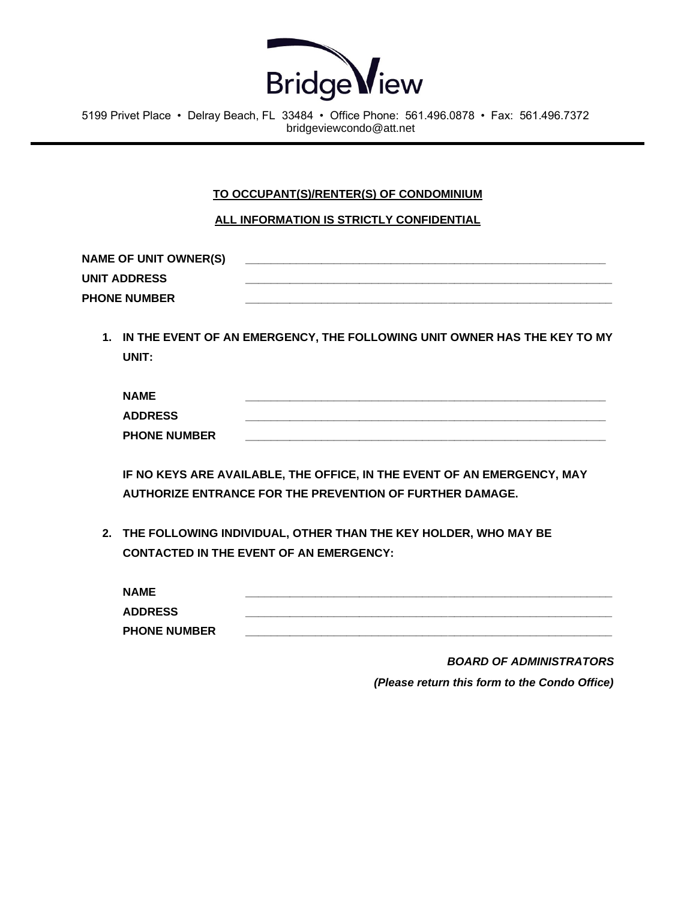

#### **TO OCCUPANT(S)/RENTER(S) OF CONDOMINIUM**

**ALL INFORMATION IS STRICTLY CONFIDENTIAL**

| <b>NAME OF UNIT OWNER(S)</b> |  |
|------------------------------|--|
| UNIT ADDRESS                 |  |
| <b>PHONE NUMBER</b>          |  |

**1. IN THE EVENT OF AN EMERGENCY, THE FOLLOWING UNIT OWNER HAS THE KEY TO MY UNIT:** 

| <b>NAME</b>         |  |
|---------------------|--|
| <b>ADDRESS</b>      |  |
| <b>PHONE NUMBER</b> |  |

**IF NO KEYS ARE AVAILABLE, THE OFFICE, IN THE EVENT OF AN EMERGENCY, MAY AUTHORIZE ENTRANCE FOR THE PREVENTION OF FURTHER DAMAGE.**

**2. THE FOLLOWING INDIVIDUAL, OTHER THAN THE KEY HOLDER, WHO MAY BE CONTACTED IN THE EVENT OF AN EMERGENCY:**

| <b>NAME</b>         |  |
|---------------------|--|
| <b>ADDRESS</b>      |  |
| <b>PHONE NUMBER</b> |  |

*BOARD OF ADMINISTRATORS*

*(Please return this form to the Condo Office)*